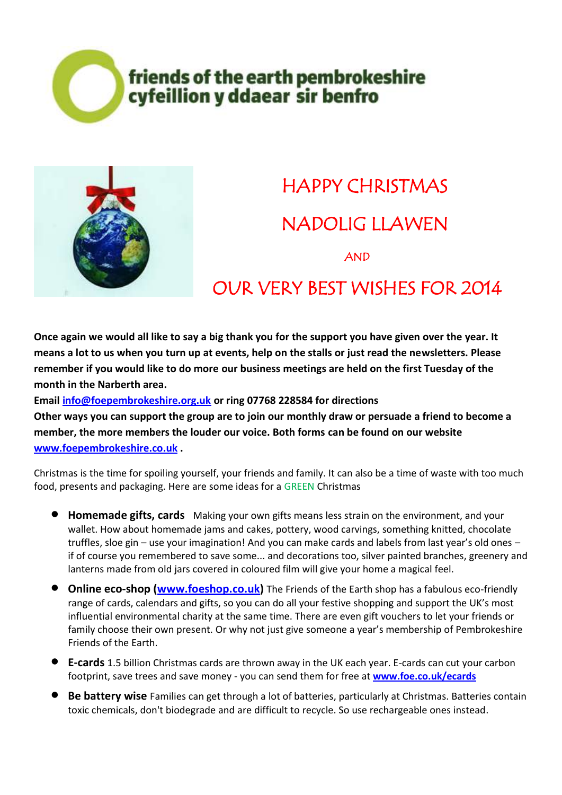### friends of the earth pembrokeshire cyfeillion y ddaear sir benfro



## HAPPY CHRISTMAS NADOLIG LLAWEN AND

#### OUR VERY BEST WISHES FOR 2014

**Once again we would all like to say a big thank you for the support you have given over the year. It means a lot to us when you turn up at events, help on the stalls or just read the newsletters. Please remember if you would like to do more our business meetings are held on the first Tuesday of the month in the Narberth area.** 

**Email [info@foepembrokeshire.org.uk](mailto:info@foepembrokeshire.org.uk) or ring 07768 228584 for directions Other ways you can support the group are to join our monthly draw or persuade a friend to become a member, the more members the louder our voice. Both forms can be found on our website [www.foepembrokeshire.co.uk](http://www.foepembrokeshire.co.uk/) .**

Christmas is the time for spoiling yourself, your friends and family. It can also be a time of waste with too much food, presents and packaging. Here are some ideas for a GREEN Christmas

- **Homemade gifts, cards** Making your own gifts means less strain on the environment, and your wallet. How about homemade jams and cakes, pottery, wood carvings, something knitted, chocolate truffles, sloe gin – use your imagination! And you can make cards and labels from last year's old ones – if of course you remembered to save some... and decorations too, silver painted branches, greenery and lanterns made from old jars covered in coloured film will give your home a magical feel.
- **Online eco-shop [\(www.foeshop.co.uk\)](http://www.foeshop.co.uk/)** The Friends of the Earth shop has a fabulous eco-friendly range of cards, calendars and gifts, so you can do all your festive shopping and support the UK's most influential environmental charity at the same time. There are even gift vouchers to let your friends or family choose their own present. Or why not just give someone a year's membership of Pembrokeshire Friends of the Earth.
- **E-cards** 1.5 billion Christmas cards are thrown away in the UK each year. E-cards can cut your carbon footprint, save trees and save money - you can send them for free at **[www.foe.co.uk/ecards](http://www.foe.co.uk/ecards)**
- **Be battery wise** Families can get through a lot of batteries, particularly at Christmas. Batteries contain toxic chemicals, don't biodegrade and are difficult to recycle. So use rechargeable ones instead.